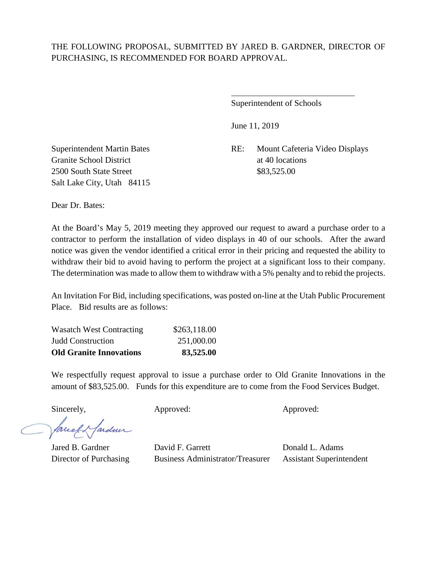$\overline{a}$ 

Superintendent of Schools

June 11, 2019

Superintendent Martin Bates RE: Mount Cafeteria Video Displays

Granite School District at 40 locations 2500 South State Street \$83,525.00 Salt Lake City, Utah 84115

Dear Dr. Bates:

At the Board's May 5, 2019 meeting they approved our request to award a purchase order to a contractor to perform the installation of video displays in 40 of our schools. After the award notice was given the vendor identified a critical error in their pricing and requested the ability to withdraw their bid to avoid having to perform the project at a significant loss to their company. The determination was made to allow them to withdraw with a 5% penalty and to rebid the projects.

An Invitation For Bid, including specifications, was posted on-line at the Utah Public Procurement Place. Bid results are as follows:

| <b>Old Granite Innovations</b>  | 83,525.00    |
|---------------------------------|--------------|
| <b>Judd Construction</b>        | 251,000.00   |
| <b>Wasatch West Contracting</b> | \$263,118.00 |

We respectfully request approval to issue a purchase order to Old Granite Innovations in the amount of \$83,525.00. Funds for this expenditure are to come from the Food Services Budget.

Sincerely, Approved: Approved: Approved: Approved:

faced farden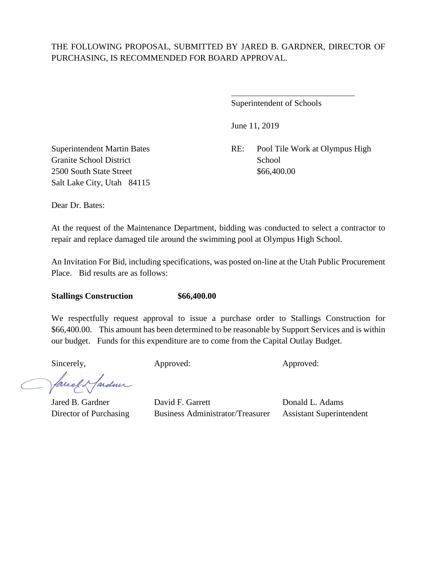$\overline{a}$ 

Superintendent of Schools

June 11, 2019

Superintendent Martin Bates RE: Pool Tile Work at Olympus High

Granite School District School School School 2500 South State Street \$66,400.00 Salt Lake City, Utah 84115

Dear Dr. Bates:

At the request of the Maintenance Department, bidding was conducted to select a contractor to repair and replace damaged tile around the swimming pool at Olympus High School.

An Invitation For Bid, including specifications, was posted on-line at the Utah Public Procurement Place. Bid results are as follows:

#### **Stallings Construction \$66,400.00**

We respectfully request approval to issue a purchase order to Stallings Construction for \$66,400.00. This amount has been determined to be reasonable by Support Services and is within our budget. Funds for this expenditure are to come from the Capital Outlay Budget.

facely farden

Sincerely, Approved: Approved: Approved: Approved: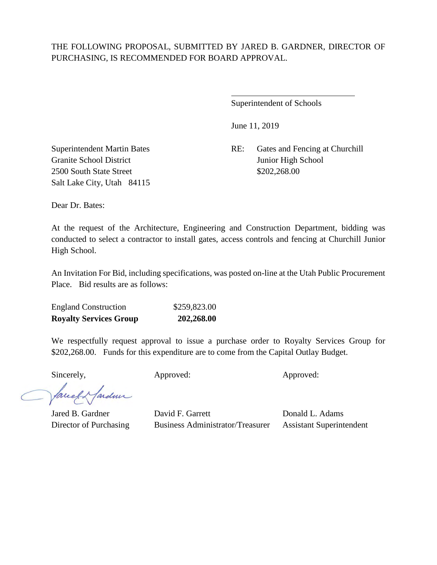$\overline{a}$ 

Superintendent of Schools

June 11, 2019

Superintendent Martin Bates RE: Gates and Fencing at Churchill

Granite School District Junior High School 2500 South State Street \$202,268.00 Salt Lake City, Utah 84115

Dear Dr. Bates:

At the request of the Architecture, Engineering and Construction Department, bidding was conducted to select a contractor to install gates, access controls and fencing at Churchill Junior High School.

An Invitation For Bid, including specifications, was posted on-line at the Utah Public Procurement Place. Bid results are as follows:

| <b>Royalty Services Group</b> | 202,268.00   |
|-------------------------------|--------------|
| <b>England Construction</b>   | \$259,823.00 |

We respectfully request approval to issue a purchase order to Royalty Services Group for \$202,268.00. Funds for this expenditure are to come from the Capital Outlay Budget.

Sincerely, Approved: Approved: Approved: Approved:

fardun facely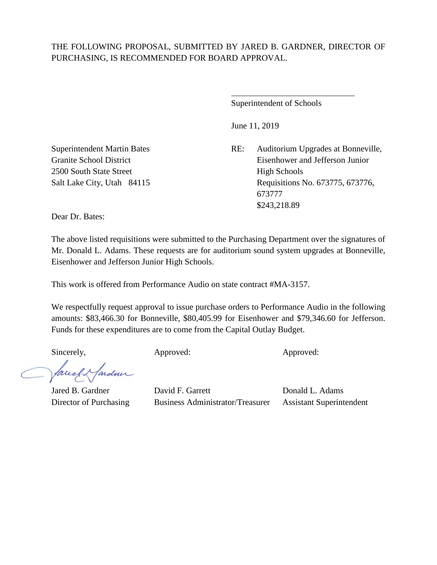$\overline{a}$ 

Superintendent of Schools

June 11, 2019

Superintendent Martin Bates RE: Auditorium Upgrades at Bonneville, Granite School District Eisenhower and Jefferson Junior Salt Lake City, Utah 84115 Requisitions No. 673775, 673776, 673777 \$243,218.89

2500 South State Street **High Schools** 

Dear Dr. Bates:

The above listed requisitions were submitted to the Purchasing Department over the signatures of Mr. Donald L. Adams. These requests are for auditorium sound system upgrades at Bonneville, Eisenhower and Jefferson Junior High Schools.

This work is offered from Performance Audio on state contract #MA-3157.

We respectfully request approval to issue purchase orders to Performance Audio in the following amounts: \$83,466.30 for Bonneville, \$80,405.99 for Eisenhower and \$79,346.60 for Jefferson. Funds for these expenditures are to come from the Capital Outlay Budget.

Sincerely, Approved: Approved: Approved: Approved:

facely farder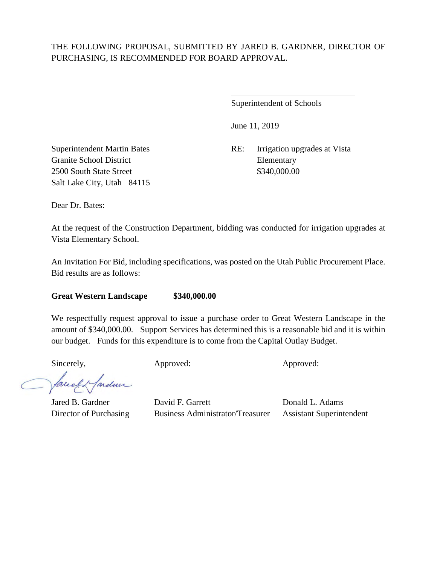$\overline{a}$ 

Superintendent of Schools

June 11, 2019

Superintendent Martin Bates RE: Irrigation upgrades at Vista

Granite School District Elementary 2500 South State Street \$340,000.00 Salt Lake City, Utah 84115

Dear Dr. Bates:

At the request of the Construction Department, bidding was conducted for irrigation upgrades at Vista Elementary School.

An Invitation For Bid, including specifications, was posted on the Utah Public Procurement Place. Bid results are as follows:

**Great Western Landscape \$340,000.00** 

We respectfully request approval to issue a purchase order to Great Western Landscape in the amount of \$340,000.00. Support Services has determined this is a reasonable bid and it is within our budget. Funds for this expenditure is to come from the Capital Outlay Budget.

Sincerely, Approved: Approved: Approved: Approved:

facely farden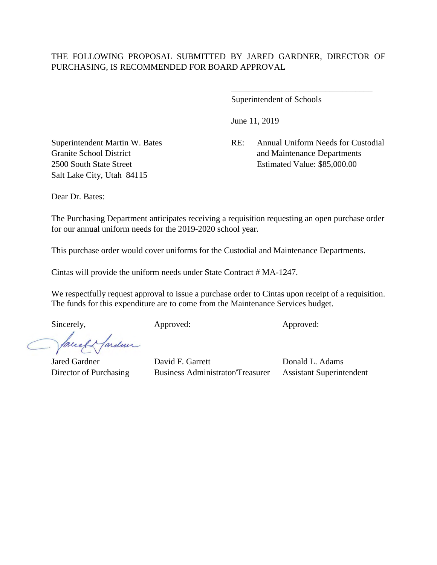Superintendent of Schools

June 11, 2019

Superintendent Martin W. Bates RE: Annual Uniform Needs for Custodial Granite School District and Maintenance Departments 2500 South State Street Estimated Value: \$85,000.00

\_\_\_\_\_\_\_\_\_\_\_\_\_\_\_\_\_\_\_\_\_\_\_\_\_\_\_\_\_\_\_\_\_

Salt Lake City, Utah 84115

Dear Dr. Bates:

The Purchasing Department anticipates receiving a requisition requesting an open purchase order for our annual uniform needs for the 2019-2020 school year.

This purchase order would cover uniforms for the Custodial and Maintenance Departments.

Cintas will provide the uniform needs under State Contract # MA-1247.

We respectfully request approval to issue a purchase order to Cintas upon receipt of a requisition. The funds for this expenditure are to come from the Maintenance Services budget.

Sincerely, Approved: Approved: Approved: Approved:

facely farden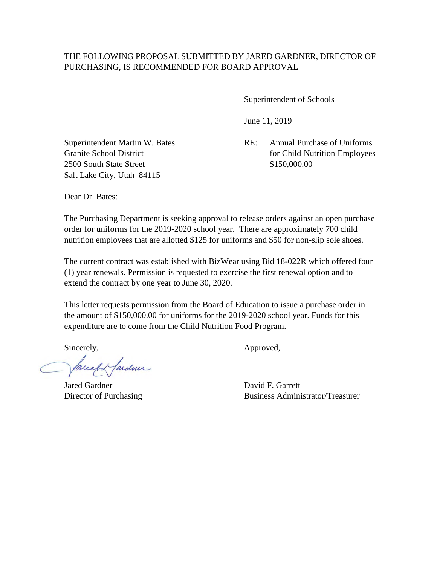Superintendent of Schools

June 11, 2019

Superintendent Martin W. Bates RE: Annual Purchase of Uniforms Granite School District for Child Nutrition Employees

\_\_\_\_\_\_\_\_\_\_\_\_\_\_\_\_\_\_\_\_\_\_\_\_\_\_\_\_

2500 South State Street \$150,000.00 Salt Lake City, Utah 84115

Dear Dr. Bates:

The Purchasing Department is seeking approval to release orders against an open purchase order for uniforms for the 2019-2020 school year. There are approximately 700 child nutrition employees that are allotted \$125 for uniforms and \$50 for non-slip sole shoes.

The current contract was established with BizWear using Bid 18-022R which offered four (1) year renewals. Permission is requested to exercise the first renewal option and to extend the contract by one year to June 30, 2020.

This letter requests permission from the Board of Education to issue a purchase order in the amount of \$150,000.00 for uniforms for the 2019-2020 school year. Funds for this expenditure are to come from the Child Nutrition Food Program.

facely farden

Jared Gardner David F. Garrett

Sincerely,  $\qquad \qquad \text{Approved},$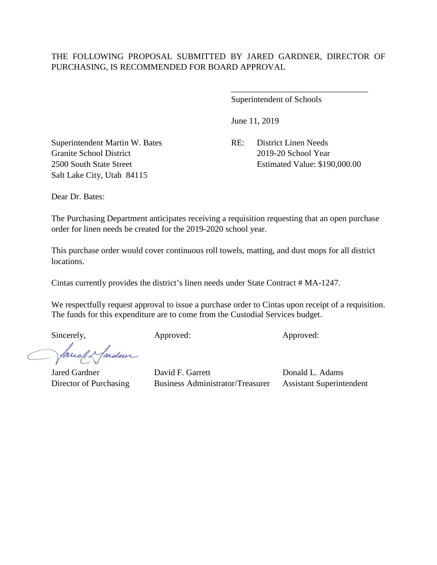Superintendent of Schools

June 11, 2019

Superintendent Martin W. Bates RE: District Linen Needs Granite School District 2019-20 School Year Salt Lake City, Utah 84115

2500 South State Street Estimated Value: \$190,000.00

\_\_\_\_\_\_\_\_\_\_\_\_\_\_\_\_\_\_\_\_\_\_\_\_\_\_\_\_\_\_\_\_

Dear Dr. Bates:

The Purchasing Department anticipates receiving a requisition requesting that an open purchase order for linen needs be created for the 2019-2020 school year.

This purchase order would cover continuous roll towels, matting, and dust mops for all district locations.

Cintas currently provides the district's linen needs under State Contract # MA-1247.

We respectfully request approval to issue a purchase order to Cintas upon receipt of a requisition. The funds for this expenditure are to come from the Custodial Services budget.

facel & fardun

Sincerely, Approved: Approved: Approved: Approved: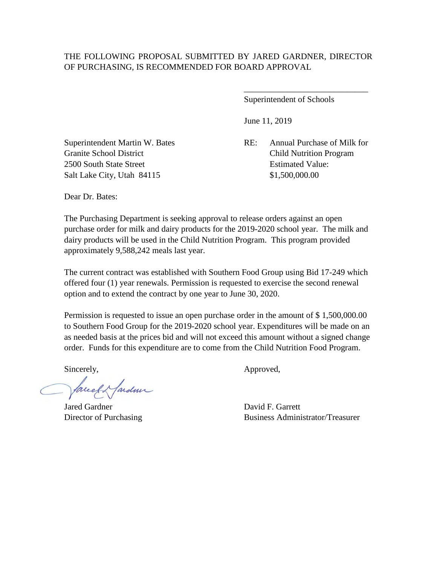Superintendent of Schools

June 11, 2019

Granite School District Child Nutrition Program

\_\_\_\_\_\_\_\_\_\_\_\_\_\_\_\_\_\_\_\_\_\_\_\_\_\_\_\_\_

Superintendent Martin W. Bates RE: Annual Purchase of Milk for 2500 South State Street Estimated Value: Salt Lake City, Utah 84115 \$1,500,000.00

Dear Dr. Bates:

The Purchasing Department is seeking approval to release orders against an open purchase order for milk and dairy products for the 2019-2020 school year. The milk and dairy products will be used in the Child Nutrition Program. This program provided approximately 9,588,242 meals last year.

The current contract was established with Southern Food Group using Bid 17-249 which offered four (1) year renewals. Permission is requested to exercise the second renewal option and to extend the contract by one year to June 30, 2020.

Permission is requested to issue an open purchase order in the amount of \$ 1,500,000.00 to Southern Food Group for the 2019-2020 school year. Expenditures will be made on an as needed basis at the prices bid and will not exceed this amount without a signed change order. Funds for this expenditure are to come from the Child Nutrition Food Program.

Jardin facel

Jared Gardner David F. Garrett

Sincerely, Approved,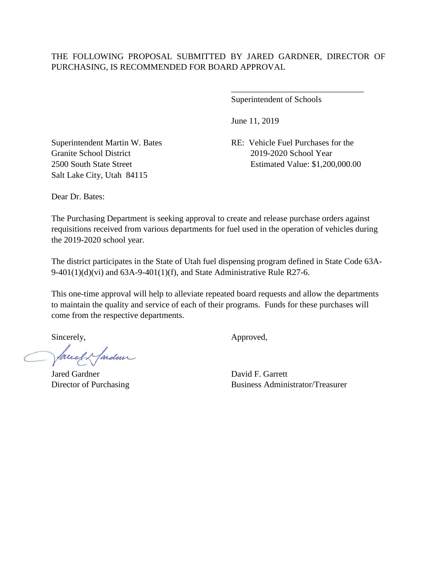Superintendent of Schools

June 11, 2019

Granite School District 2019-2020 School Year Salt Lake City, Utah 84115

Superintendent Martin W. Bates RE: Vehicle Fuel Purchases for the 2500 South State Street Estimated Value: \$1,200,000.00

\_\_\_\_\_\_\_\_\_\_\_\_\_\_\_\_\_\_\_\_\_\_\_\_\_\_\_\_\_\_\_

Dear Dr. Bates:

The Purchasing Department is seeking approval to create and release purchase orders against requisitions received from various departments for fuel used in the operation of vehicles during the 2019-2020 school year.

The district participates in the State of Utah fuel dispensing program defined in State Code 63A-9-401(1)(d)(vi) and  $63A-9-401(1)$ (f), and State Administrative Rule R27-6.

This one-time approval will help to alleviate repeated board requests and allow the departments to maintain the quality and service of each of their programs. Funds for these purchases will come from the respective departments.

facely fardeur

Jared Gardner David F. Garrett

Sincerely,  $\qquad \qquad \text{Approved},$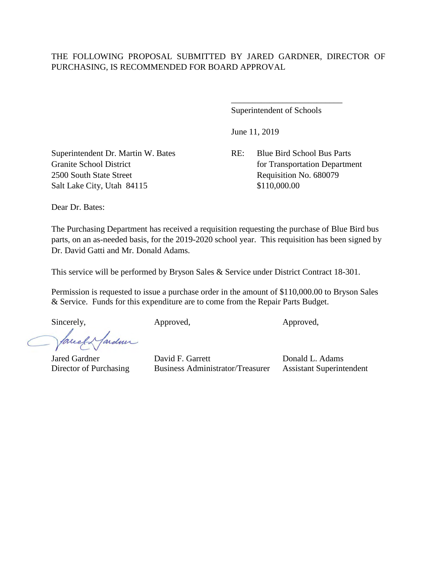Superintendent of Schools

\_\_\_\_\_\_\_\_\_\_\_\_\_\_\_\_\_\_\_\_\_\_\_\_\_\_

June 11, 2019

Granite School District for Transportation Department

Superintendent Dr. Martin W. Bates RE: Blue Bird School Bus Parts 2500 South State Street Requisition No. 680079 Salt Lake City, Utah 84115 \$110,000.00

Dear Dr. Bates:

The Purchasing Department has received a requisition requesting the purchase of Blue Bird bus parts, on an as-needed basis, for the 2019-2020 school year. This requisition has been signed by Dr. David Gatti and Mr. Donald Adams.

This service will be performed by Bryson Sales & Service under District Contract 18-301.

Permission is requested to issue a purchase order in the amount of \$110,000.00 to Bryson Sales & Service. Funds for this expenditure are to come from the Repair Parts Budget.

Sincerely, Approved, Approved, Approved, Approved,

facely farder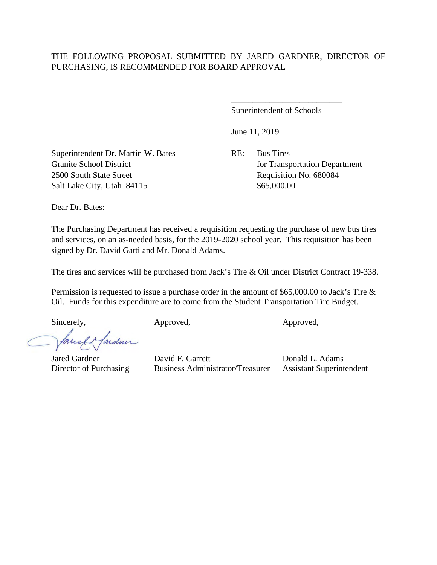Superintendent of Schools

\_\_\_\_\_\_\_\_\_\_\_\_\_\_\_\_\_\_\_\_\_\_\_\_\_\_

June 11, 2019

Superintendent Dr. Martin W. Bates RE: Bus Tires Granite School District for Transportation Department 2500 South State Street Requisition No. 680084 Salt Lake City, Utah 84115 \$65,000.00

Dear Dr. Bates:

The Purchasing Department has received a requisition requesting the purchase of new bus tires and services, on an as-needed basis, for the 2019-2020 school year. This requisition has been signed by Dr. David Gatti and Mr. Donald Adams.

The tires and services will be purchased from Jack's Tire & Oil under District Contract 19-338.

Permission is requested to issue a purchase order in the amount of \$65,000.00 to Jack's Tire & Oil. Funds for this expenditure are to come from the Student Transportation Tire Budget.

Sincerely, Approved, Approved, Approved, Approved,

facely fardeur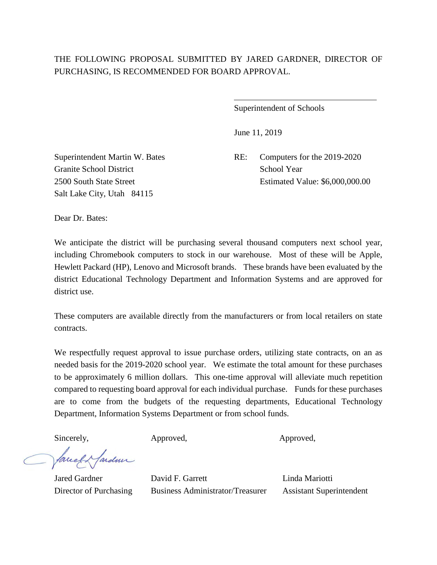$\overline{a}$ 

Superintendent of Schools

June 11, 2019

Granite School District School Year Salt Lake City, Utah 84115

Superintendent Martin W. Bates RE: Computers for the 2019-2020 2500 South State Street Estimated Value: \$6,000,000.00

Dear Dr. Bates:

We anticipate the district will be purchasing several thousand computers next school year, including Chromebook computers to stock in our warehouse. Most of these will be Apple, Hewlett Packard (HP), Lenovo and Microsoft brands. These brands have been evaluated by the district Educational Technology Department and Information Systems and are approved for district use.

These computers are available directly from the manufacturers or from local retailers on state contracts.

We respectfully request approval to issue purchase orders, utilizing state contracts, on an as needed basis for the 2019-2020 school year. We estimate the total amount for these purchases to be approximately 6 million dollars. This one-time approval will alleviate much repetition compared to requesting board approval for each individual purchase. Funds for these purchases are to come from the budgets of the requesting departments, Educational Technology Department, Information Systems Department or from school funds.

facely farder

Sincerely, Approved, Approved, Approved,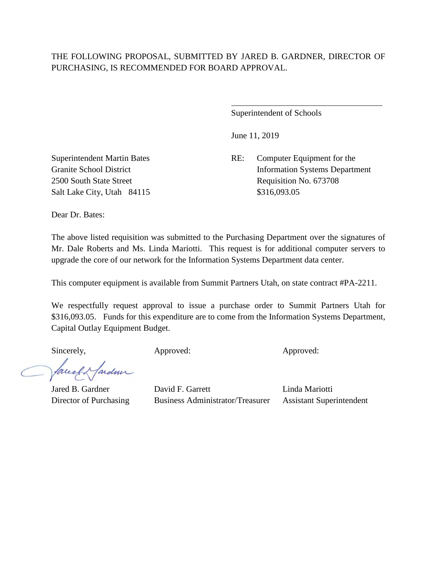$\overline{a}$ 

Superintendent of Schools

June 11, 2019

Superintendent Martin Bates RE: Computer Equipment for the Granite School District Information Systems Department 2500 South State Street Requisition No. 673708

Salt Lake City, Utah 84115 \$316,093.05

Dear Dr. Bates:

The above listed requisition was submitted to the Purchasing Department over the signatures of Mr. Dale Roberts and Ms. Linda Mariotti. This request is for additional computer servers to upgrade the core of our network for the Information Systems Department data center.

This computer equipment is available from Summit Partners Utah, on state contract #PA-2211.

We respectfully request approval to issue a purchase order to Summit Partners Utah for \$316,093.05. Funds for this expenditure are to come from the Information Systems Department, Capital Outlay Equipment Budget.

Sincerely, Approved: Approved: Approved: Approved:

facely farden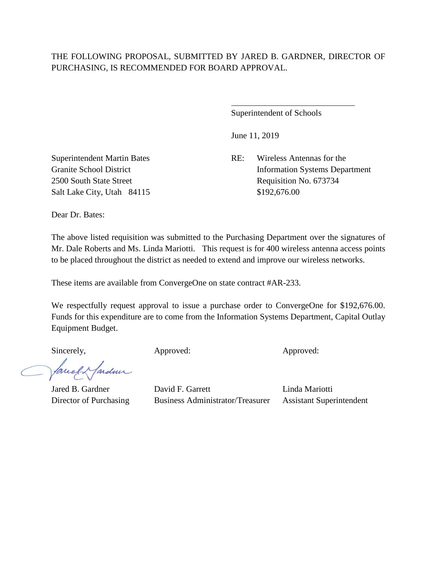$\overline{a}$ 

Superintendent of Schools

June 11, 2019

Superintendent Martin Bates RE: Wireless Antennas for the Granite School District Information Systems Department 2500 South State Street Requisition No. 673734

Salt Lake City, Utah 84115 \$192,676.00

Dear Dr. Bates:

The above listed requisition was submitted to the Purchasing Department over the signatures of Mr. Dale Roberts and Ms. Linda Mariotti. This request is for 400 wireless antenna access points to be placed throughout the district as needed to extend and improve our wireless networks.

These items are available from ConvergeOne on state contract #AR-233.

We respectfully request approval to issue a purchase order to ConvergeOne for \$192,676.00. Funds for this expenditure are to come from the Information Systems Department, Capital Outlay Equipment Budget.

Sincerely, Approved: Approved: Approved: Approved:

facely farden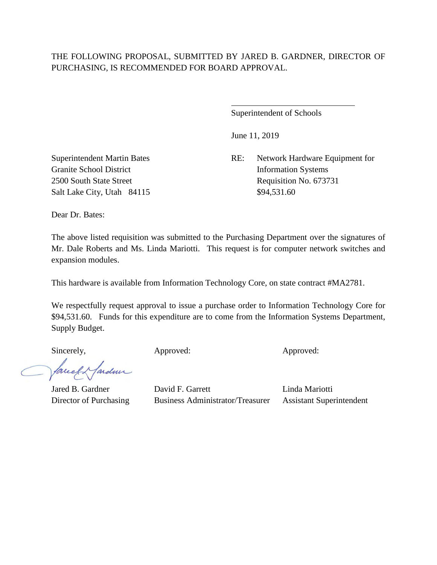$\overline{a}$ 

Superintendent of Schools

June 11, 2019

Superintendent Martin Bates RE: Network Hardware Equipment for 2500 South State Street Requisition No. 673731

Granite School District Information Systems Salt Lake City, Utah 84115 \$94,531.60

Dear Dr. Bates:

The above listed requisition was submitted to the Purchasing Department over the signatures of Mr. Dale Roberts and Ms. Linda Mariotti. This request is for computer network switches and expansion modules.

This hardware is available from Information Technology Core, on state contract #MA2781.

We respectfully request approval to issue a purchase order to Information Technology Core for \$94,531.60. Funds for this expenditure are to come from the Information Systems Department, Supply Budget.

Sincerely, Approved: Approved: Approved: Approved:

facely farden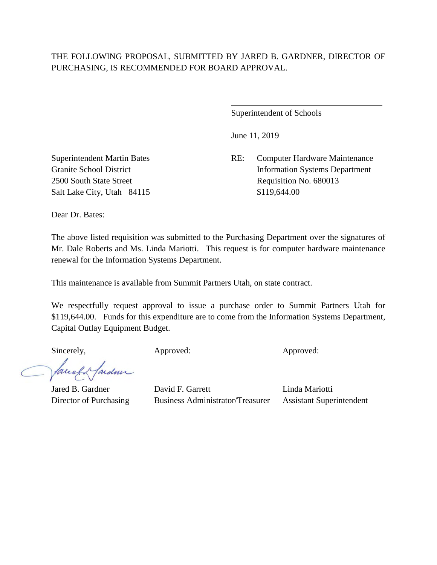$\overline{a}$ 

Superintendent of Schools

June 11, 2019

Superintendent Martin Bates RE: Computer Hardware Maintenance Granite School District Information Systems Department 2500 South State Street Requisition No. 680013

Salt Lake City, Utah 84115 \$119,644.00

Dear Dr. Bates:

The above listed requisition was submitted to the Purchasing Department over the signatures of Mr. Dale Roberts and Ms. Linda Mariotti. This request is for computer hardware maintenance renewal for the Information Systems Department.

This maintenance is available from Summit Partners Utah, on state contract.

We respectfully request approval to issue a purchase order to Summit Partners Utah for \$119,644.00. Funds for this expenditure are to come from the Information Systems Department, Capital Outlay Equipment Budget.

Sincerely, Approved: Approved: Approved: Approved:

facely farden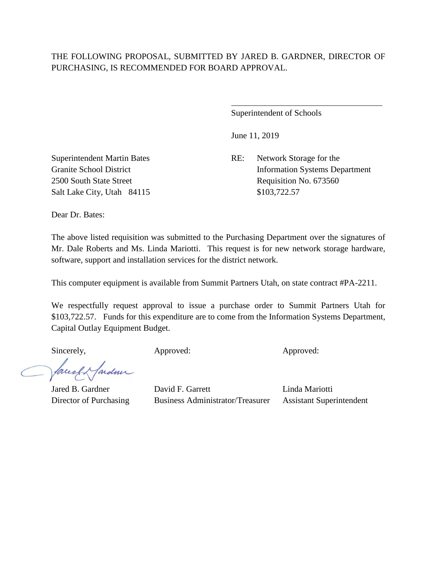$\overline{a}$ 

Superintendent of Schools

June 11, 2019

Superintendent Martin Bates RE: Network Storage for the Granite School District Information Systems Department 2500 South State Street Requisition No. 673560

Salt Lake City, Utah 84115 \$103,722.57

Dear Dr. Bates:

The above listed requisition was submitted to the Purchasing Department over the signatures of Mr. Dale Roberts and Ms. Linda Mariotti. This request is for new network storage hardware, software, support and installation services for the district network.

This computer equipment is available from Summit Partners Utah, on state contract #PA-2211.

We respectfully request approval to issue a purchase order to Summit Partners Utah for \$103,722.57. Funds for this expenditure are to come from the Information Systems Department, Capital Outlay Equipment Budget.

Sincerely, Approved: Approved: Approved: Approved:

facely farden